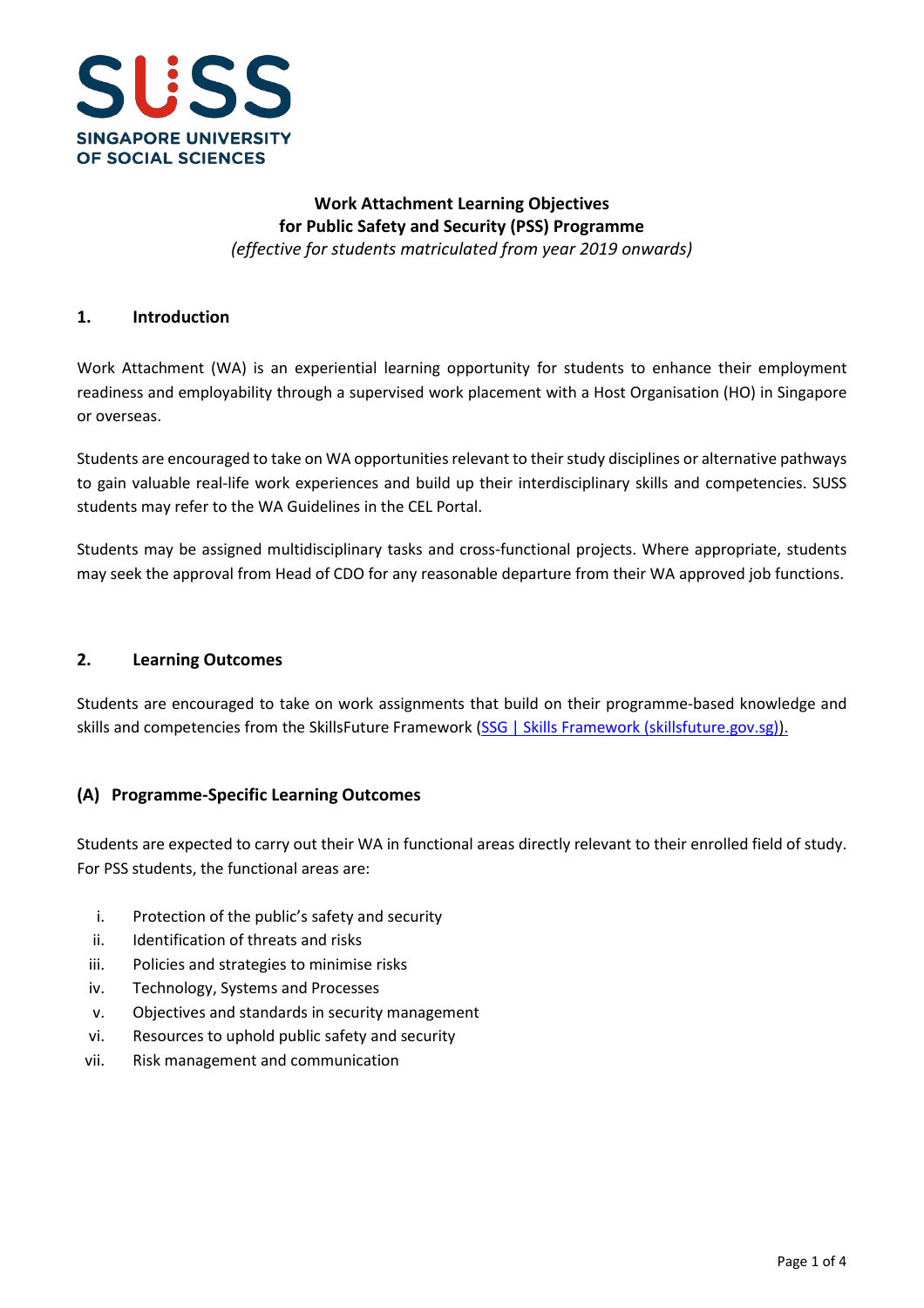

## **Work Attachment Learning Objectives for Public Safety and Security (PSS) Programme** *(effective for students matriculated from year 2019 onwards)*

#### **1. Introduction**

Work Attachment (WA) is an experiential learning opportunity for students to enhance their employment readiness and employability through a supervised work placement with a Host Organisation (HO) in Singapore or overseas.

Students are encouraged to take on WA opportunities relevant to their study disciplines or alternative pathways to gain valuable real-life work experiences and build up their interdisciplinary skills and competencies. SUSS students may refer to the WA Guidelines in the CEL Portal.

Students may be assigned multidisciplinary tasks and cross-functional projects. Where appropriate, students may seek the approval from Head of CDO for any reasonable departure from their WA approved job functions.

#### **2. Learning Outcomes**

Students are encouraged to take on work assignments that build on their programme-based knowledge and skills and competencies from the SkillsFuture Framework [\(SSG | Skills Framework \(skillsfuture.gov.sg\)\)](https://www.skillsfuture.gov.sg/skills-framework).

## **(A) Programme-Specific Learning Outcomes**

Students are expected to carry out their WA in functional areas directly relevant to their enrolled field of study. For PSS students, the functional areas are:

- i. Protection of the public's safety and security
- ii. Identification of threats and risks
- iii. Policies and strategies to minimise risks
- iv. Technology, Systems and Processes
- v. Objectives and standards in security management
- vi. Resources to uphold public safety and security
- vii. Risk management and communication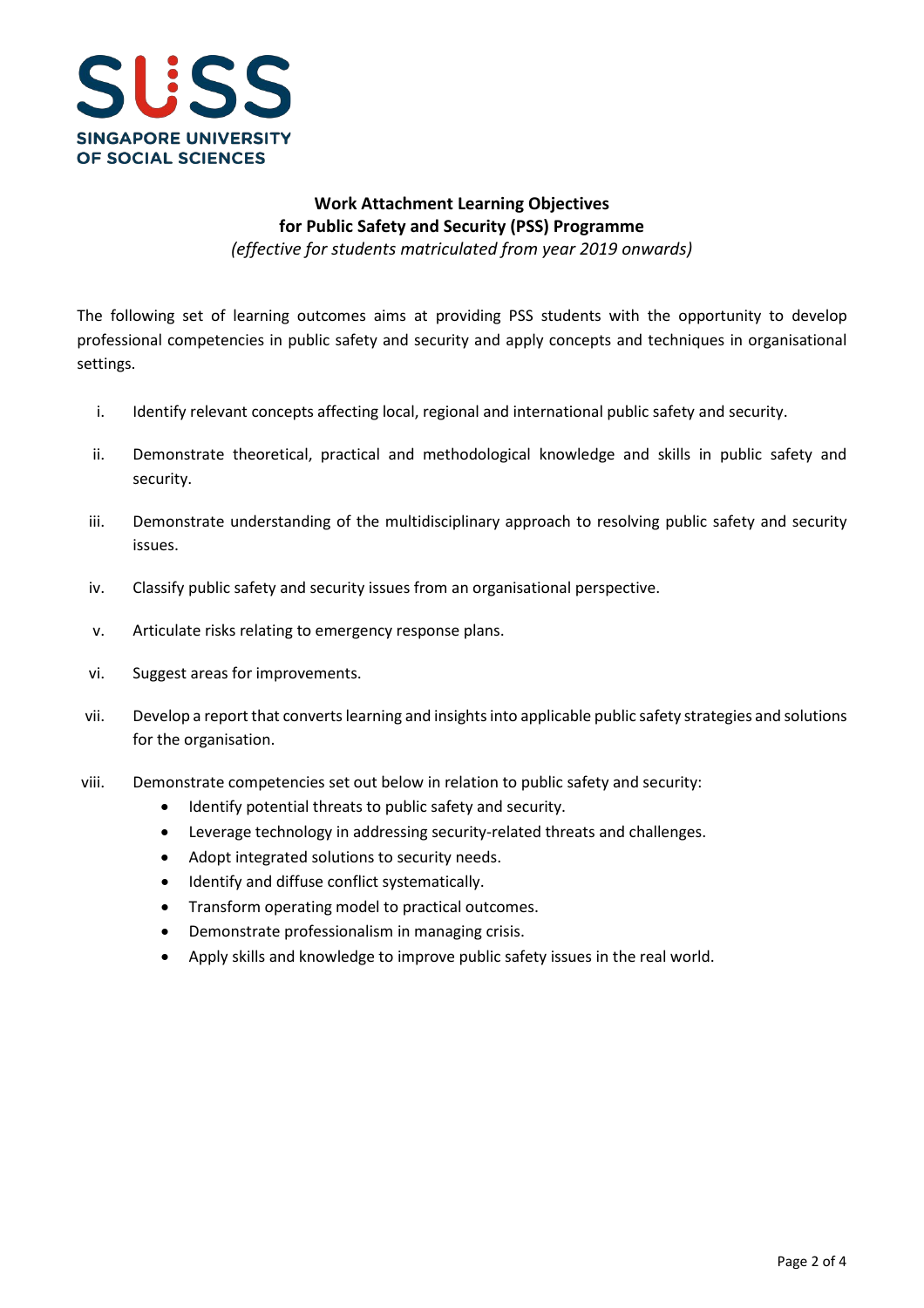

## **Work Attachment Learning Objectives for Public Safety and Security (PSS) Programme**

*(effective for students matriculated from year 2019 onwards)*

The following set of learning outcomes aims at providing PSS students with the opportunity to develop professional competencies in public safety and security and apply concepts and techniques in organisational settings.

- i. Identify relevant concepts affecting local, regional and international public safety and security.
- ii. Demonstrate theoretical, practical and methodological knowledge and skills in public safety and security.
- iii. Demonstrate understanding of the multidisciplinary approach to resolving public safety and security issues.
- iv. Classify public safety and security issues from an organisational perspective.
- v. Articulate risks relating to emergency response plans.
- vi. Suggest areas for improvements.
- vii. Develop a report that converts learning and insights into applicable public safety strategies and solutions for the organisation.
- viii. Demonstrate competencies set out below in relation to public safety and security:
	- Identify potential threats to public safety and security.
	- Leverage technology in addressing security-related threats and challenges.
	- Adopt integrated solutions to security needs.
	- Identify and diffuse conflict systematically.
	- Transform operating model to practical outcomes.
	- Demonstrate professionalism in managing crisis.
	- Apply skills and knowledge to improve public safety issues in the real world.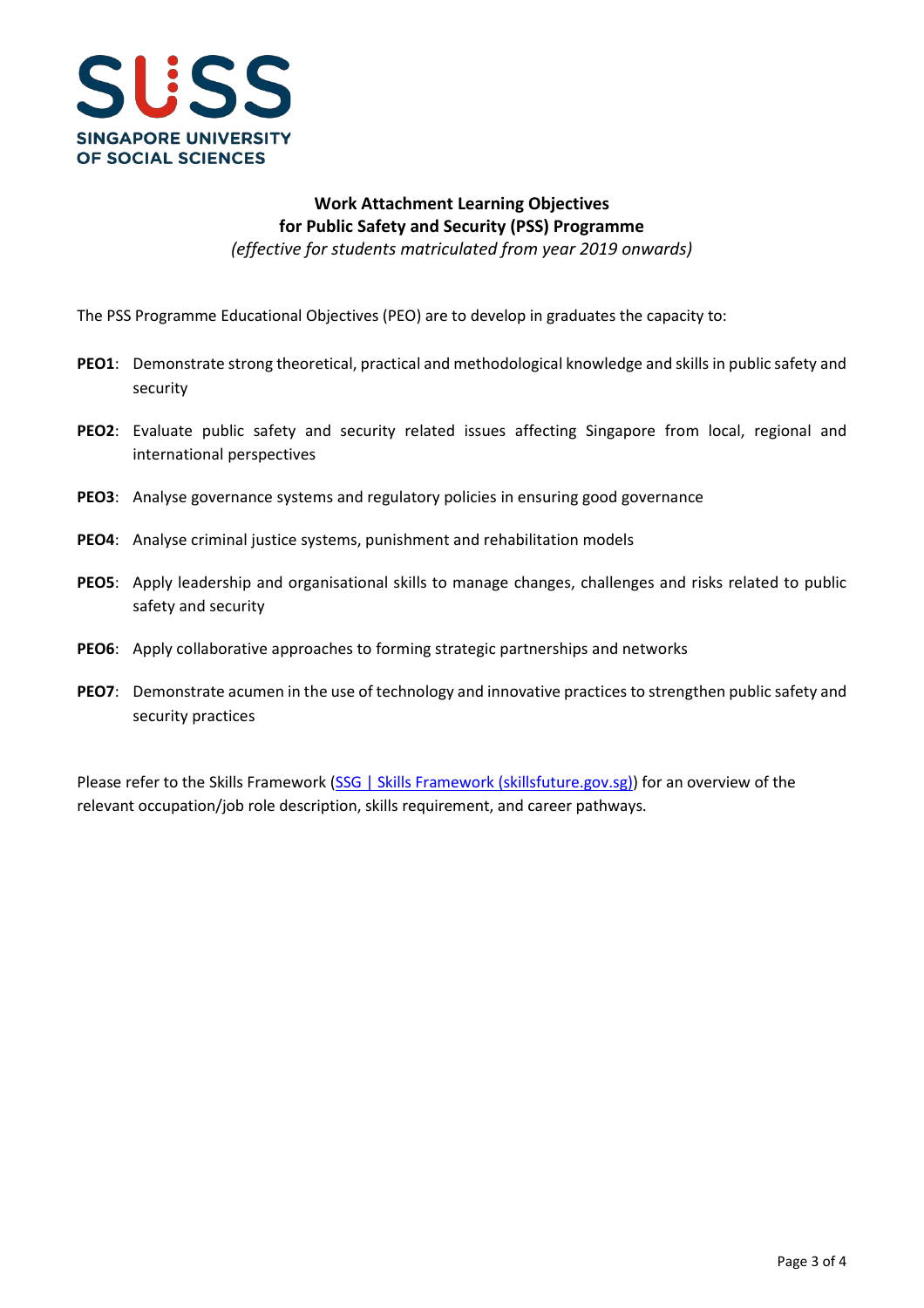

# **Work Attachment Learning Objectives for Public Safety and Security (PSS) Programme**

*(effective for students matriculated from year 2019 onwards)*

The PSS Programme Educational Objectives (PEO) are to develop in graduates the capacity to:

- **PEO1**: Demonstrate strong theoretical, practical and methodological knowledge and skills in public safety and security
- **PEO2**: Evaluate public safety and security related issues affecting Singapore from local, regional and international perspectives
- **PEO3**: Analyse governance systems and regulatory policies in ensuring good governance
- **PEO4**: Analyse criminal justice systems, punishment and rehabilitation models
- **PEO5**: Apply leadership and organisational skills to manage changes, challenges and risks related to public safety and security
- **PEO6**: Apply collaborative approaches to forming strategic partnerships and networks
- **PEO7**: Demonstrate acumen in the use of technology and innovative practices to strengthen public safety and security practices

Please refer to the Skills Framework [\(SSG | Skills Framework \(skillsfuture.gov.sg\)\)](https://www.skillsfuture.gov.sg/skills-framework) for an overview of the relevant occupation/job role description, skills requirement, and career pathways.